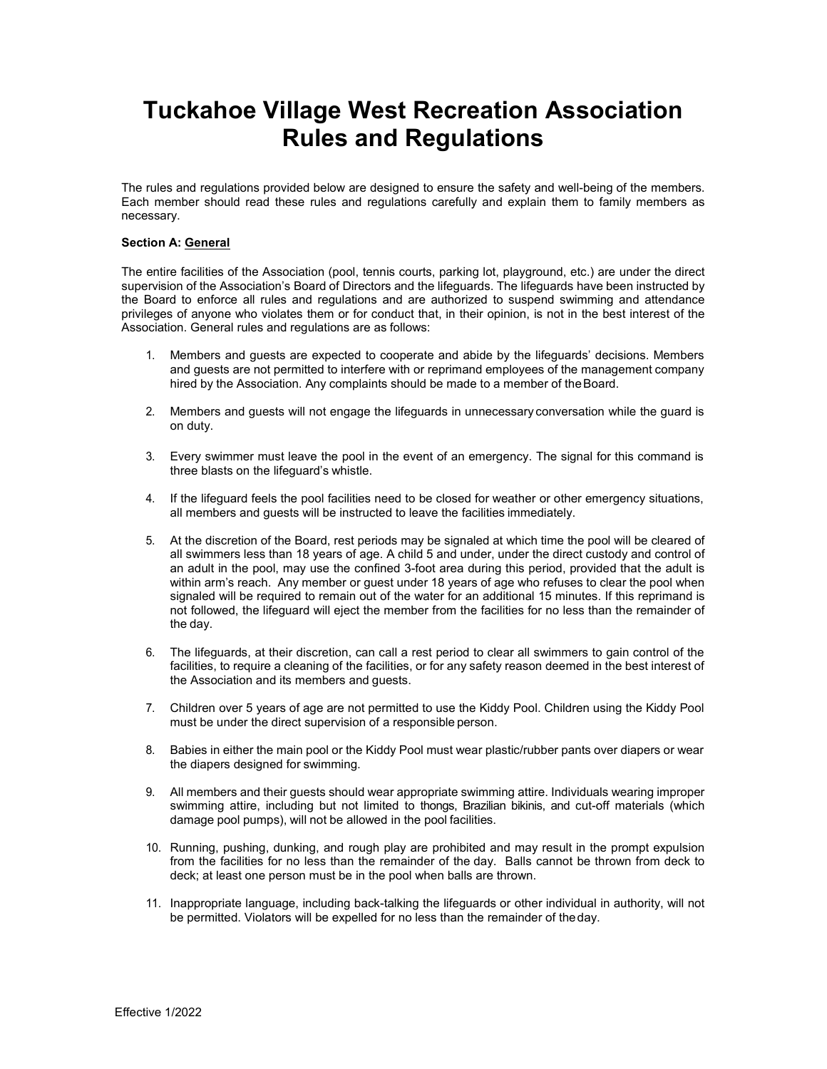# Tuckahoe Village West Recreation Association Rules and Regulations

The rules and regulations provided below are designed to ensure the safety and well-being of the members. Each member should read these rules and regulations carefully and explain them to family members as necessary.

# Section A: General

The entire facilities of the Association (pool, tennis courts, parking lot, playground, etc.) are under the direct supervision of the Association's Board of Directors and the lifeguards. The lifeguards have been instructed by the Board to enforce all rules and regulations and are authorized to suspend swimming and attendance privileges of anyone who violates them or for conduct that, in their opinion, is not in the best interest of the Association. General rules and regulations are as follows:

- 1. Members and guests are expected to cooperate and abide by the lifeguards' decisions. Members and guests are not permitted to interfere with or reprimand employees of the management company hired by the Association. Any complaints should be made to a member of the Board.
- 2. Members and guests will not engage the lifeguards in unnecessary conversation while the guard is on duty.
- 3. Every swimmer must leave the pool in the event of an emergency. The signal for this command is three blasts on the lifeguard's whistle.
- 4. If the lifeguard feels the pool facilities need to be closed for weather or other emergency situations, all members and guests will be instructed to leave the facilities immediately.
- 5. At the discretion of the Board, rest periods may be signaled at which time the pool will be cleared of all swimmers less than 18 years of age. A child 5 and under, under the direct custody and control of an adult in the pool, may use the confined 3-foot area during this period, provided that the adult is within arm's reach. Any member or guest under 18 years of age who refuses to clear the pool when signaled will be required to remain out of the water for an additional 15 minutes. If this reprimand is not followed, the lifeguard will eject the member from the facilities for no less than the remainder of the day.
- 6. The lifeguards, at their discretion, can call a rest period to clear all swimmers to gain control of the facilities, to require a cleaning of the facilities, or for any safety reason deemed in the best interest of the Association and its members and guests.
- 7. Children over 5 years of age are not permitted to use the Kiddy Pool. Children using the Kiddy Pool must be under the direct supervision of a responsible person.
- 8. Babies in either the main pool or the Kiddy Pool must wear plastic/rubber pants over diapers or wear the diapers designed for swimming.
- 9. All members and their guests should wear appropriate swimming attire. Individuals wearing improper swimming attire, including but not limited to thongs, Brazilian bikinis, and cut-off materials (which damage pool pumps), will not be allowed in the pool facilities.
- 10. Running, pushing, dunking, and rough play are prohibited and may result in the prompt expulsion from the facilities for no less than the remainder of the day. Balls cannot be thrown from deck to deck; at least one person must be in the pool when balls are thrown.
- 11. Inappropriate language, including back-talking the lifeguards or other individual in authority, will not be permitted. Violators will be expelled for no less than the remainder of the day.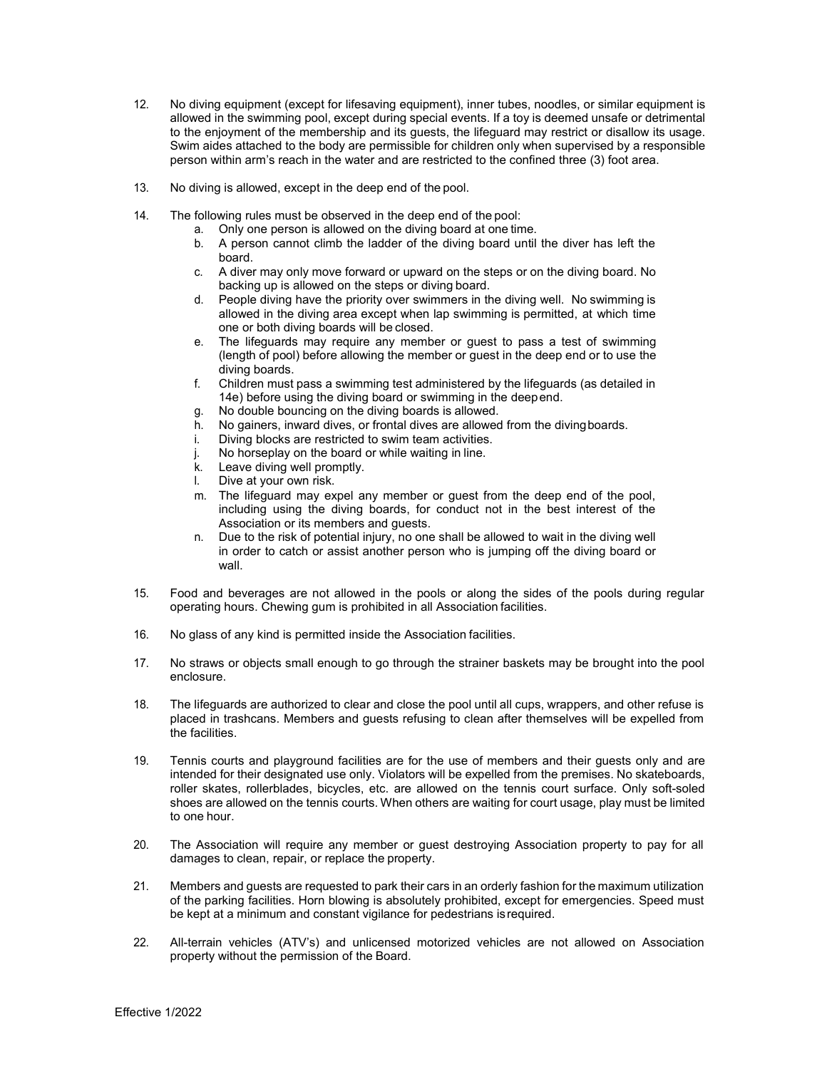- 12. No diving equipment (except for lifesaving equipment), inner tubes, noodles, or similar equipment is allowed in the swimming pool, except during special events. If a toy is deemed unsafe or detrimental to the enjoyment of the membership and its guests, the lifeguard may restrict or disallow its usage. Swim aides attached to the body are permissible for children only when supervised by a responsible person within arm's reach in the water and are restricted to the confined three (3) foot area.
- 13. No diving is allowed, except in the deep end of the pool.
- 14. The following rules must be observed in the deep end of the pool:
	- a. Only one person is allowed on the diving board at one time.
	- b. A person cannot climb the ladder of the diving board until the diver has left the board.
	- c. A diver may only move forward or upward on the steps or on the diving board. No backing up is allowed on the steps or diving board.
	- d. People diving have the priority over swimmers in the diving well. No swimming is allowed in the diving area except when lap swimming is permitted, at which time one or both diving boards will be closed.
	- e. The lifeguards may require any member or guest to pass a test of swimming (length of pool) before allowing the member or guest in the deep end or to use the diving boards.
	- f. Children must pass a swimming test administered by the lifeguards (as detailed in 14e) before using the diving board or swimming in the deep end.
	- g. No double bouncing on the diving boards is allowed.
	- h. No gainers, inward dives, or frontal dives are allowed from the diving boards.
	- i. Diving blocks are restricted to swim team activities.
	- j. No horseplay on the board or while waiting in line.
	- k. Leave diving well promptly.
	- l. Dive at your own risk.
	- m. The lifeguard may expel any member or guest from the deep end of the pool, including using the diving boards, for conduct not in the best interest of the Association or its members and guests.
	- n. Due to the risk of potential injury, no one shall be allowed to wait in the diving well in order to catch or assist another person who is jumping off the diving board or wall.
- 15. Food and beverages are not allowed in the pools or along the sides of the pools during regular operating hours. Chewing gum is prohibited in all Association facilities.
- 16. No glass of any kind is permitted inside the Association facilities.
- 17. No straws or objects small enough to go through the strainer baskets may be brought into the pool enclosure.
- 18. The lifeguards are authorized to clear and close the pool until all cups, wrappers, and other refuse is placed in trashcans. Members and guests refusing to clean after themselves will be expelled from the facilities.
- 19. Tennis courts and playground facilities are for the use of members and their guests only and are intended for their designated use only. Violators will be expelled from the premises. No skateboards, roller skates, rollerblades, bicycles, etc. are allowed on the tennis court surface. Only soft-soled shoes are allowed on the tennis courts. When others are waiting for court usage, play must be limited to one hour.
- 20. The Association will require any member or guest destroying Association property to pay for all damages to clean, repair, or replace the property.
- 21. Members and guests are requested to park their cars in an orderly fashion for the maximum utilization of the parking facilities. Horn blowing is absolutely prohibited, except for emergencies. Speed must be kept at a minimum and constant vigilance for pedestrians is required.
- 22. All-terrain vehicles (ATV's) and unlicensed motorized vehicles are not allowed on Association property without the permission of the Board.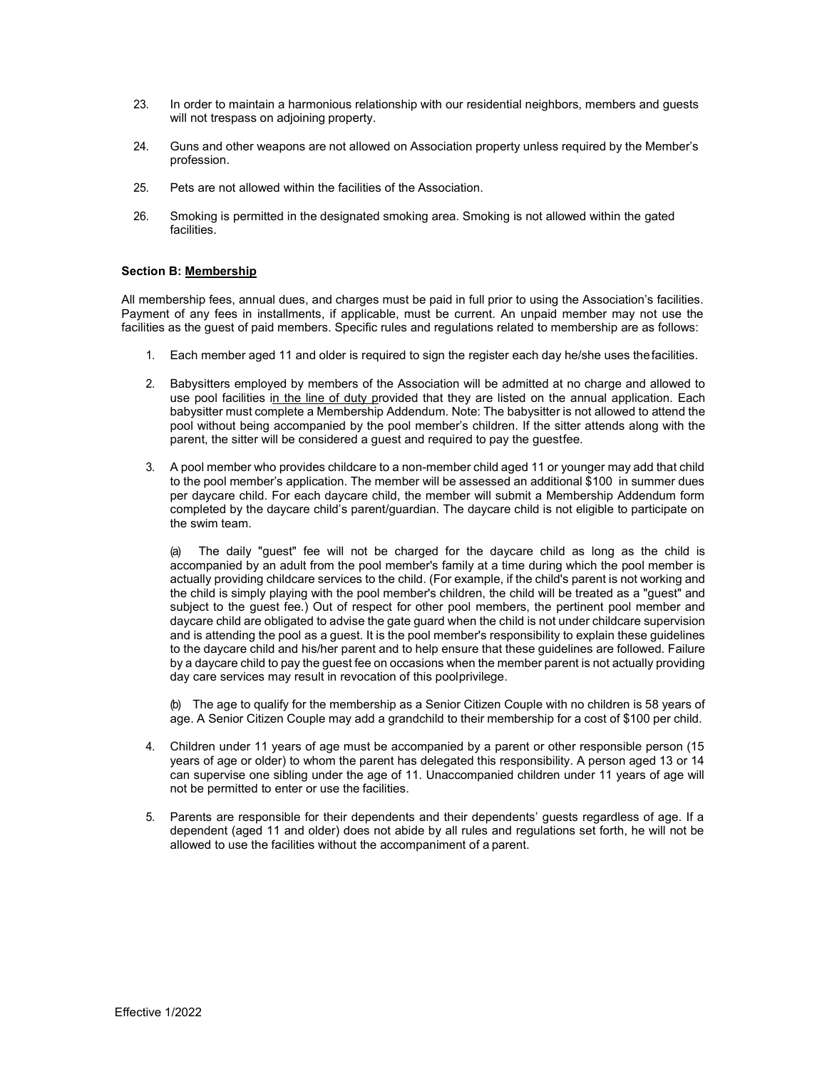- 23. In order to maintain a harmonious relationship with our residential neighbors, members and guests will not trespass on adjoining property.
- 24. Guns and other weapons are not allowed on Association property unless required by the Member's profession.
- 25. Pets are not allowed within the facilities of the Association.
- 26. Smoking is permitted in the designated smoking area. Smoking is not allowed within the gated **facilities**

## Section B: Membership

All membership fees, annual dues, and charges must be paid in full prior to using the Association's facilities. Payment of any fees in installments, if applicable, must be current. An unpaid member may not use the facilities as the guest of paid members. Specific rules and regulations related to membership are as follows:

- 1. Each member aged 11 and older is required to sign the register each day he/she uses the facilities.
- 2. Babysitters employed by members of the Association will be admitted at no charge and allowed to use pool facilities in the line of duty provided that they are listed on the annual application. Each babysitter must complete a Membership Addendum. Note: The babysitter is not allowed to attend the pool without being accompanied by the pool member's children. If the sitter attends along with the parent, the sitter will be considered a guest and required to pay the guestfee.
- 3. A pool member who provides childcare to a non-member child aged 11 or younger may add that child to the pool member's application. The member will be assessed an additional \$100 in summer dues per daycare child. For each daycare child, the member will submit a Membership Addendum form completed by the daycare child's parent/guardian. The daycare child is not eligible to participate on the swim team.

(a) The daily "guest" fee will not be charged for the daycare child as long as the child is accompanied by an adult from the pool member's family at a time during which the pool member is actually providing childcare services to the child. (For example, if the child's parent is not working and the child is simply playing with the pool member's children, the child will be treated as a "guest" and subject to the guest fee.) Out of respect for other pool members, the pertinent pool member and daycare child are obligated to advise the gate guard when the child is not under childcare supervision and is attending the pool as a guest. It is the pool member's responsibility to explain these guidelines to the daycare child and his/her parent and to help ensure that these guidelines are followed. Failure by a daycare child to pay the guest fee on occasions when the member parent is not actually providing day care services may result in revocation of this pool privilege.

(b) The age to qualify for the membership as a Senior Citizen Couple with no children is 58 years of age. A Senior Citizen Couple may add a grandchild to their membership for a cost of \$100 per child.

- 4. Children under 11 years of age must be accompanied by a parent or other responsible person (15 years of age or older) to whom the parent has delegated this responsibility. A person aged 13 or 14 can supervise one sibling under the age of 11. Unaccompanied children under 11 years of age will not be permitted to enter or use the facilities.
- 5. Parents are responsible for their dependents and their dependents' guests regardless of age. If a dependent (aged 11 and older) does not abide by all rules and regulations set forth, he will not be allowed to use the facilities without the accompaniment of a parent.